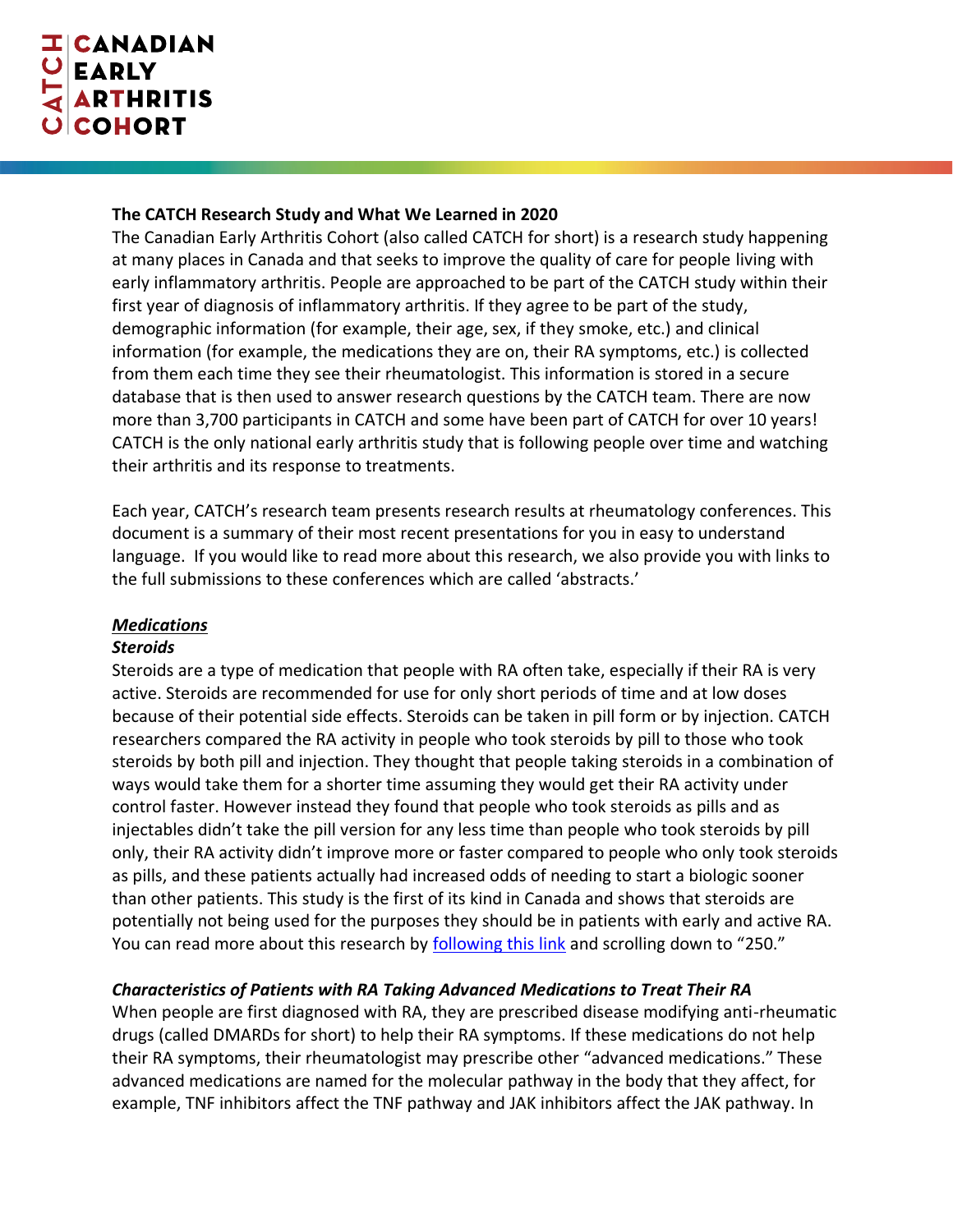## **The CATCH Research Study and What We Learned in 2020**

The Canadian Early Arthritis Cohort (also called CATCH for short) is a research study happening at many places in Canada and that seeks to improve the quality of care for people living with early inflammatory arthritis. People are approached to be part of the CATCH study within their first year of diagnosis of inflammatory arthritis. If they agree to be part of the study, demographic information (for example, their age, sex, if they smoke, etc.) and clinical information (for example, the medications they are on, their RA symptoms, etc.) is collected from them each time they see their rheumatologist. This information is stored in a secure database that is then used to answer research questions by the CATCH team. There are now more than 3,700 participants in CATCH and some have been part of CATCH for over 10 years! CATCH is the only national early arthritis study that is following people over time and watching their arthritis and its response to treatments.

Each year, CATCH's research team presents research results at rheumatology conferences. This document is a summary of their most recent presentations for you in easy to understand language. If you would like to read more about this research, we also provide you with links to the full submissions to these conferences which are called 'abstracts.'

## *Medications*

### *Steroids*

Steroids are a type of medication that people with RA often take, especially if their RA is very active. Steroids are recommended for use for only short periods of time and at low doses because of their potential side effects. Steroids can be taken in pill form or by injection. CATCH researchers compared the RA activity in people who took steroids by pill to those who took steroids by both pill and injection. They thought that people taking steroids in a combination of ways would take them for a shorter time assuming they would get their RA activity under control faster. However instead they found that people who took steroids as pills and as injectables didn't take the pill version for any less time than people who took steroids by pill only, their RA activity didn't improve more or faster compared to people who only took steroids as pills, and these patients actually had increased odds of needing to start a biologic sooner than other patients. This study is the first of its kind in Canada and shows that steroids are potentially not being used for the purposes they should be in patients with early and active RA. You can read more about this research by [following this link](https://rheum.ca/wp-content/uploads/2020/04/2020-Poster-Presentations-for-JRheum.pdf) and scrolling down to "250."

## *Characteristics of Patients with RA Taking Advanced Medications to Treat Their RA*

When people are first diagnosed with RA, they are prescribed disease modifying anti-rheumatic drugs (called DMARDs for short) to help their RA symptoms. If these medications do not help their RA symptoms, their rheumatologist may prescribe other "advanced medications." These advanced medications are named for the molecular pathway in the body that they affect, for example, TNF inhibitors affect the TNF pathway and JAK inhibitors affect the JAK pathway. In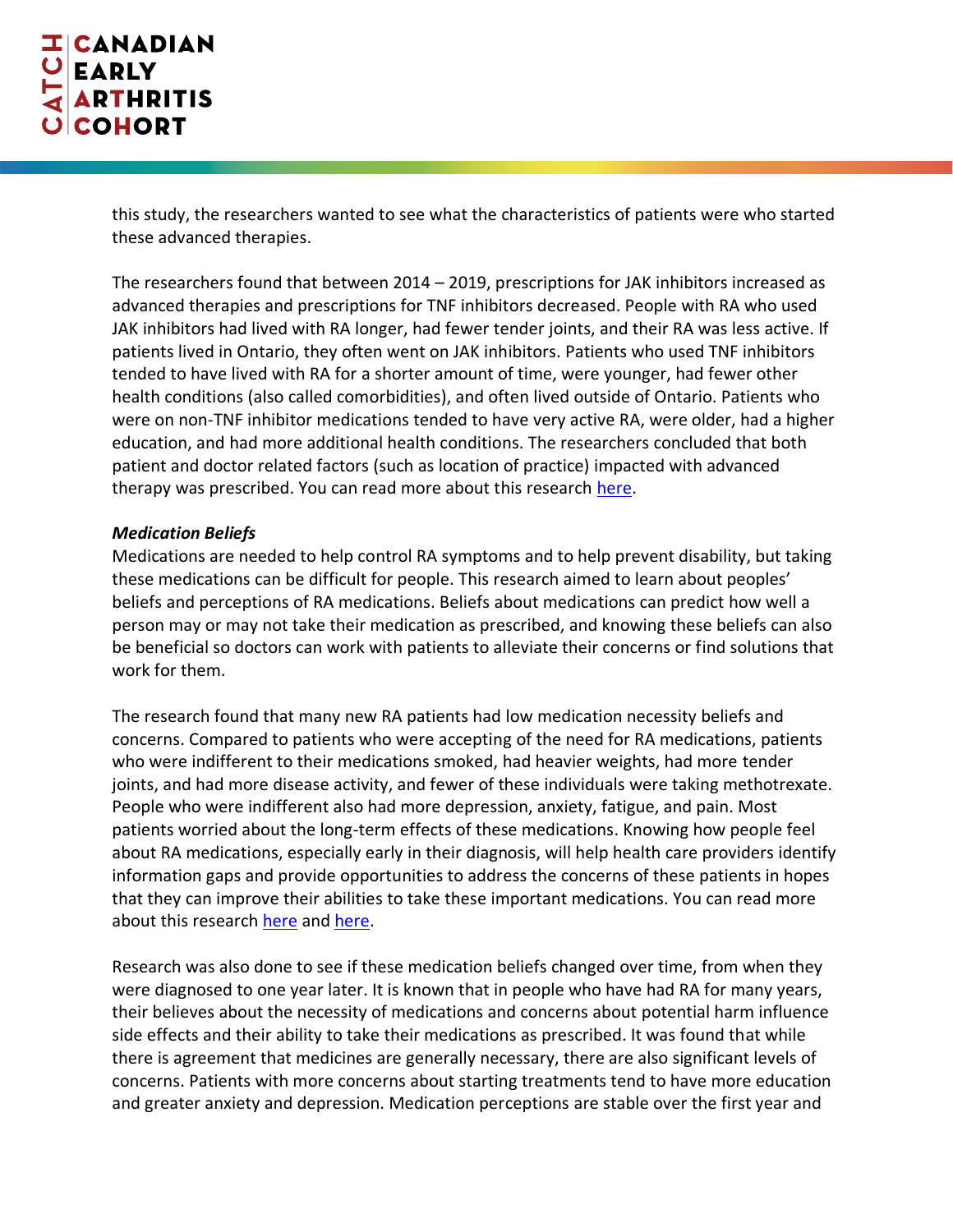this study, the researchers wanted to see what the characteristics of patients were who started these advanced therapies.

The researchers found that between 2014 – 2019, prescriptions for JAK inhibitors increased as advanced therapies and prescriptions for TNF inhibitors decreased. People with RA who used JAK inhibitors had lived with RA longer, had fewer tender joints, and their RA was less active. If patients lived in Ontario, they often went on JAK inhibitors. Patients who used TNF inhibitors tended to have lived with RA for a shorter amount of time, were younger, had fewer other health conditions (also called comorbidities), and often lived outside of Ontario. Patients who were on non-TNF inhibitor medications tended to have very active RA, were older, had a higher education, and had more additional health conditions. The researchers concluded that both patient and doctor related factors (such as location of practice) impacted with advanced therapy was prescribed. You can read more about this research [here.](https://ard.bmj.com/content/79/Suppl_1/999)

## *Medication Beliefs*

Medications are needed to help control RA symptoms and to help prevent disability, but taking these medications can be difficult for people. This research aimed to learn about peoples' beliefs and perceptions of RA medications. Beliefs about medications can predict how well a person may or may not take their medication as prescribed, and knowing these beliefs can also be beneficial so doctors can work with patients to alleviate their concerns or find solutions that work for them.

The research found that many new RA patients had low medication necessity beliefs and concerns. Compared to patients who were accepting of the need for RA medications, patients who were indifferent to their medications smoked, had heavier weights, had more tender joints, and had more disease activity, and fewer of these individuals were taking methotrexate. People who were indifferent also had more depression, anxiety, fatigue, and pain. Most patients worried about the long-term effects of these medications. Knowing how people feel about RA medications, especially early in their diagnosis, will help health care providers identify information gaps and provide opportunities to address the concerns of these patients in hopes that they can improve their abilities to take these important medications. You can read more about this researc[h here](https://ard.bmj.com/content/79/Suppl_1/588.1) and [here.](https://acrabstracts.org/abstract/more-than-half-of-newly-diagnosed-ra-patients-are-not-convinced-of-the-necessity-of-ra-medicines-associations-with-ra-characteristics-symptoms-and-function-in-the-canadian-early-arthritis-cohort-c/)

Research was also done to see if these medication beliefs changed over time, from when they were diagnosed to one year later. It is known that in people who have had RA for many years, their believes about the necessity of medications and concerns about potential harm influence side effects and their ability to take their medications as prescribed. It was found that while there is agreement that medicines are generally necessary, there are also significant levels of concerns. Patients with more concerns about starting treatments tend to have more education and greater anxiety and depression. Medication perceptions are stable over the first year and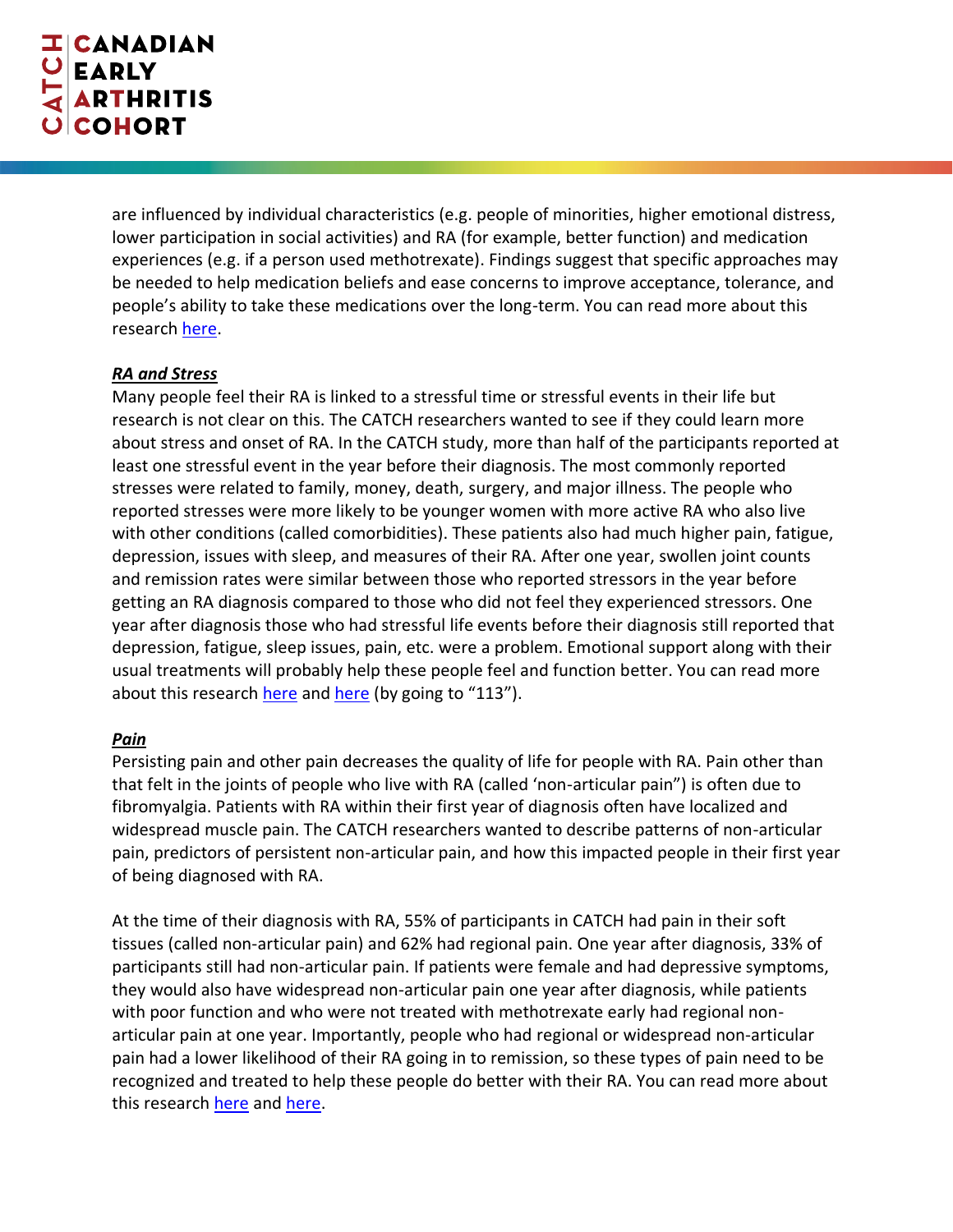are influenced by individual characteristics (e.g. people of minorities, higher emotional distress, lower participation in social activities) and RA (for example, better function) and medication experiences (e.g. if a person used methotrexate). Findings suggest that specific approaches may be needed to help medication beliefs and ease concerns to improve acceptance, tolerance, and people's ability to take these medications over the long-term. You can read more about this research [here.](https://acrabstracts.org/?findbynumber=1&s=0149)

### *RA and Stress*

Many people feel their RA is linked to a stressful time or stressful events in their life but research is not clear on this. The CATCH researchers wanted to see if they could learn more about stress and onset of RA. In the CATCH study, more than half of the participants reported at least one stressful event in the year before their diagnosis. The most commonly reported stresses were related to family, money, death, surgery, and major illness. The people who reported stresses were more likely to be younger women with more active RA who also live with other conditions (called comorbidities). These patients also had much higher pain, fatigue, depression, issues with sleep, and measures of their RA. After one year, swollen joint counts and remission rates were similar between those who reported stressors in the year before getting an RA diagnosis compared to those who did not feel they experienced stressors. One year after diagnosis those who had stressful life events before their diagnosis still reported that depression, fatigue, sleep issues, pain, etc. were a problem. Emotional support along with their usual treatments will probably help these people feel and function better. You can read more about this researc[h here](http://scientific.sparx-ip.net/archiveeular/?searchfor=andersen&view=1&c=a&item=2020OP0263-HPR) and [here](https://rheum.ca/wp-content/uploads/2020/04/2020-Poster-Presentations-for-JRheum.pdf) (by going to "113").

### *Pain*

Persisting pain and other pain decreases the quality of life for people with RA. Pain other than that felt in the joints of people who live with RA (called 'non-articular pain") is often due to fibromyalgia. Patients with RA within their first year of diagnosis often have localized and widespread muscle pain. The CATCH researchers wanted to describe patterns of non-articular pain, predictors of persistent non-articular pain, and how this impacted people in their first year of being diagnosed with RA.

At the time of their diagnosis with RA, 55% of participants in CATCH had pain in their soft tissues (called non-articular pain) and 62% had regional pain. One year after diagnosis, 33% of participants still had non-articular pain. If patients were female and had depressive symptoms, they would also have widespread non-articular pain one year after diagnosis, while patients with poor function and who were not treated with methotrexate early had regional nonarticular pain at one year. Importantly, people who had regional or widespread non-articular pain had a lower likelihood of their RA going in to remission, so these types of pain need to be recognized and treated to help these people do better with their RA. You can read more about this research [here](https://ard.bmj.com/content/79/Suppl_1/589) an[d here.](https://acrabstracts.org/abstract/regional-and-widespread-patterns-of-non-articular-pain-are-common-at-ra-diagnosis-and-contribute-to-poor-outcomes-at-12-months-a-prospective-study-of-pain-patterns-in-canadians-with-ra/)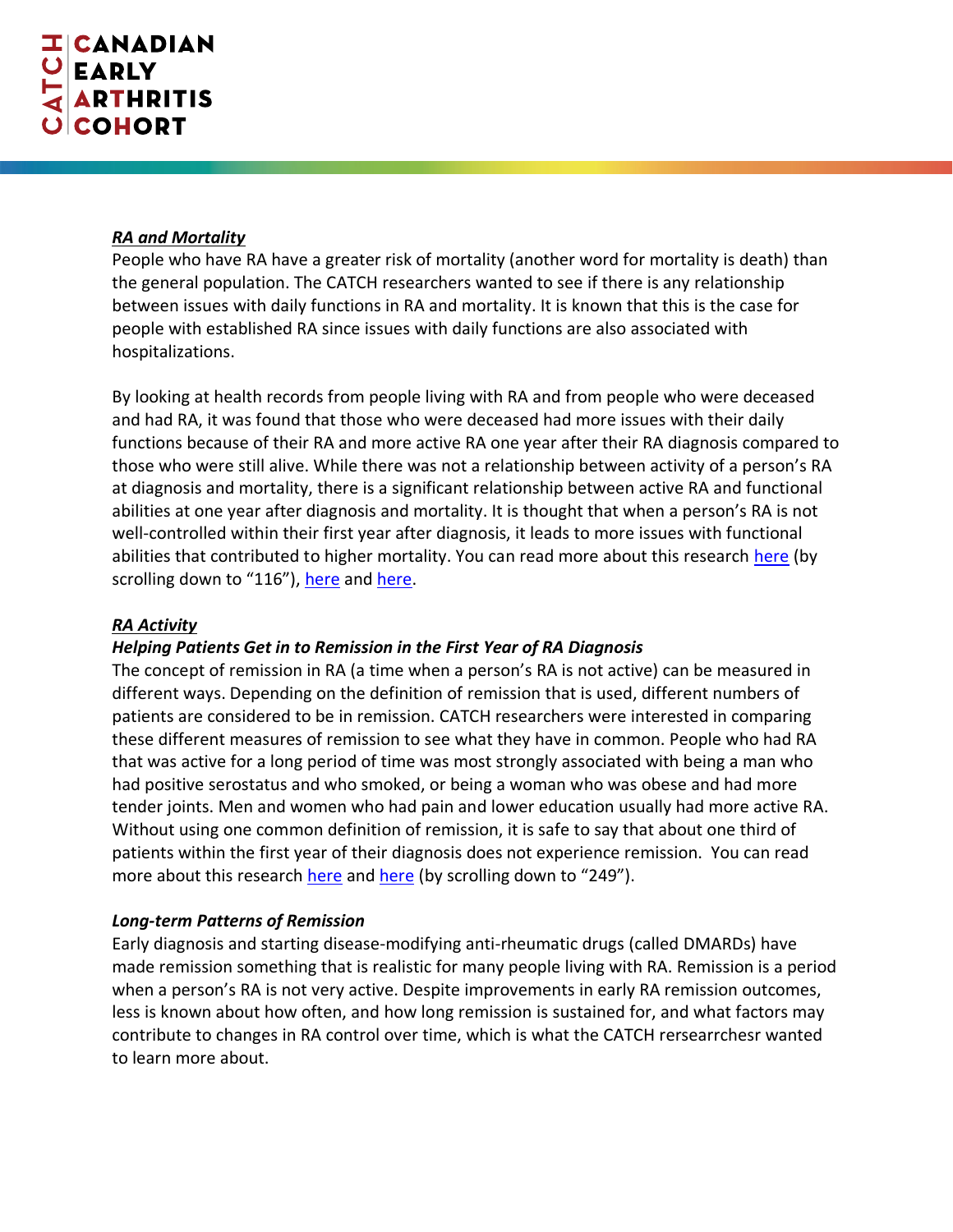#### *RA and Mortality*

People who have RA have a greater risk of mortality (another word for mortality is death) than the general population. The CATCH researchers wanted to see if there is any relationship between issues with daily functions in RA and mortality. It is known that this is the case for people with established RA since issues with daily functions are also associated with hospitalizations.

By looking at health records from people living with RA and from people who were deceased and had RA, it was found that those who were deceased had more issues with their daily functions because of their RA and more active RA one year after their RA diagnosis compared to those who were still alive. While there was not a relationship between activity of a person's RA at diagnosis and mortality, there is a significant relationship between active RA and functional abilities at one year after diagnosis and mortality. It is thought that when a person's RA is not well-controlled within their first year after diagnosis, it leads to more issues with functional abilities that contributed to higher mortality. You can read more about this research [here](https://rheum.ca/wp-content/uploads/2020/04/2020-Poster-Presentations-for-JRheum.pdf) (by scrolling down to "116"), [here](https://ard.bmj.com/content/79/Suppl_1/592.1) and [here.](https://acrabstracts.org/abstract/health-assessment-questionnaire-predicts-all-cause-mortality-at-one-year-in-patients-with-early-rheumatoid-arthritis/)

### *RA Activity*

## *Helping Patients Get in to Remission in the First Year of RA Diagnosis*

The concept of remission in RA (a time when a person's RA is not active) can be measured in different ways. Depending on the definition of remission that is used, different numbers of patients are considered to be in remission. CATCH researchers were interested in comparing these different measures of remission to see what they have in common. People who had RA that was active for a long period of time was most strongly associated with being a man who had positive serostatus and who smoked, or being a woman who was obese and had more tender joints. Men and women who had pain and lower education usually had more active RA. Without using one common definition of remission, it is safe to say that about one third of patients within the first year of their diagnosis does not experience remission. You can read more about this research [here](https://ard.bmj.com/content/79/Suppl_1/958) an[d here](https://rheum.ca/wp-content/uploads/2020/04/2020-Poster-Presentations-for-JRheum.pdf) (by scrolling down to "249").

### *Long-term Patterns of Remission*

Early diagnosis and starting disease-modifying anti-rheumatic drugs (called DMARDs) have made remission something that is realistic for many people living with RA. Remission is a period when a person's RA is not very active. Despite improvements in early RA remission outcomes, less is known about how often, and how long remission is sustained for, and what factors may contribute to changes in RA control over time, which is what the CATCH rersearrchesr wanted to learn more about.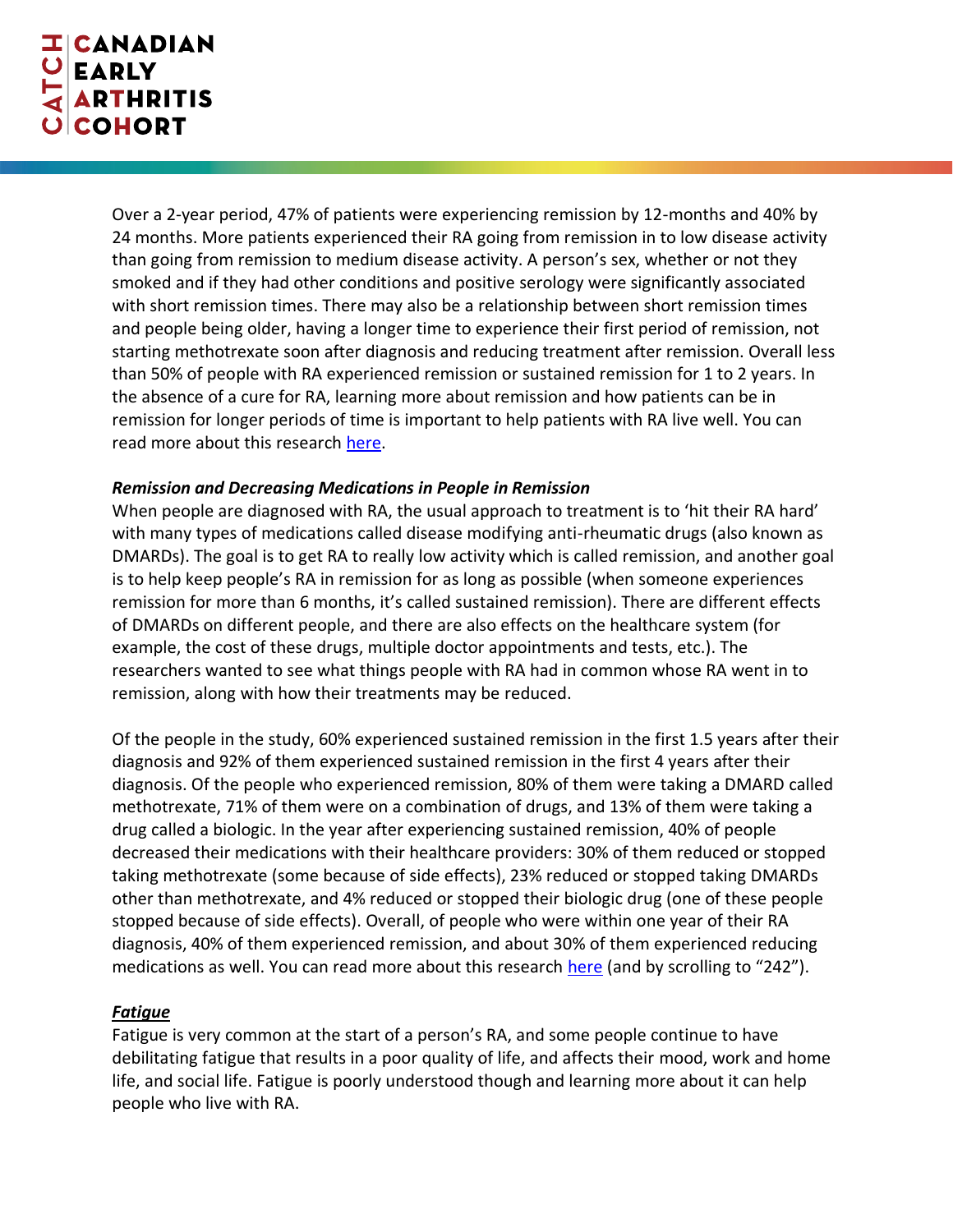Over a 2-year period, 47% of patients were experiencing remission by 12-months and 40% by 24 months. More patients experienced their RA going from remission in to low disease activity than going from remission to medium disease activity. A person's sex, whether or not they smoked and if they had other conditions and positive serology were significantly associated with short remission times. There may also be a relationship between short remission times and people being older, having a longer time to experience their first period of remission, not starting methotrexate soon after diagnosis and reducing treatment after remission. Overall less than 50% of people with RA experienced remission or sustained remission for 1 to 2 years. In the absence of a cure for RA, learning more about remission and how patients can be in remission for longer periods of time is important to help patients with RA live well. You can read more about this research [here.](https://acrabstracts.org/abstract/longitudinal-patterns-of-remission-in-real-world-early-rheumatoid-arthritis-patients-results-from-the-canadian-early-arthritis-cohort-catch/)

### *Remission and Decreasing Medications in People in Remission*

When people are diagnosed with RA, the usual approach to treatment is to 'hit their RA hard' with many types of medications called disease modifying anti-rheumatic drugs (also known as DMARDs). The goal is to get RA to really low activity which is called remission, and another goal is to help keep people's RA in remission for as long as possible (when someone experiences remission for more than 6 months, it's called sustained remission). There are different effects of DMARDs on different people, and there are also effects on the healthcare system (for example, the cost of these drugs, multiple doctor appointments and tests, etc.). The researchers wanted to see what things people with RA had in common whose RA went in to remission, along with how their treatments may be reduced.

Of the people in the study, 60% experienced sustained remission in the first 1.5 years after their diagnosis and 92% of them experienced sustained remission in the first 4 years after their diagnosis. Of the people who experienced remission, 80% of them were taking a DMARD called methotrexate, 71% of them were on a combination of drugs, and 13% of them were taking a drug called a biologic. In the year after experiencing sustained remission, 40% of people decreased their medications with their healthcare providers: 30% of them reduced or stopped taking methotrexate (some because of side effects), 23% reduced or stopped taking DMARDs other than methotrexate, and 4% reduced or stopped their biologic drug (one of these people stopped because of side effects). Overall, of people who were within one year of their RA diagnosis, 40% of them experienced remission, and about 30% of them experienced reducing medications as well. You can read more about this research [here](https://rheum.ca/wp-content/uploads/2020/04/2020-Poster-Presentations-for-JRheum.pdf) (and by scrolling to "242").

### *Fatigue*

Fatigue is very common at the start of a person's RA, and some people continue to have debilitating fatigue that results in a poor quality of life, and affects their mood, work and home life, and social life. Fatigue is poorly understood though and learning more about it can help people who live with RA.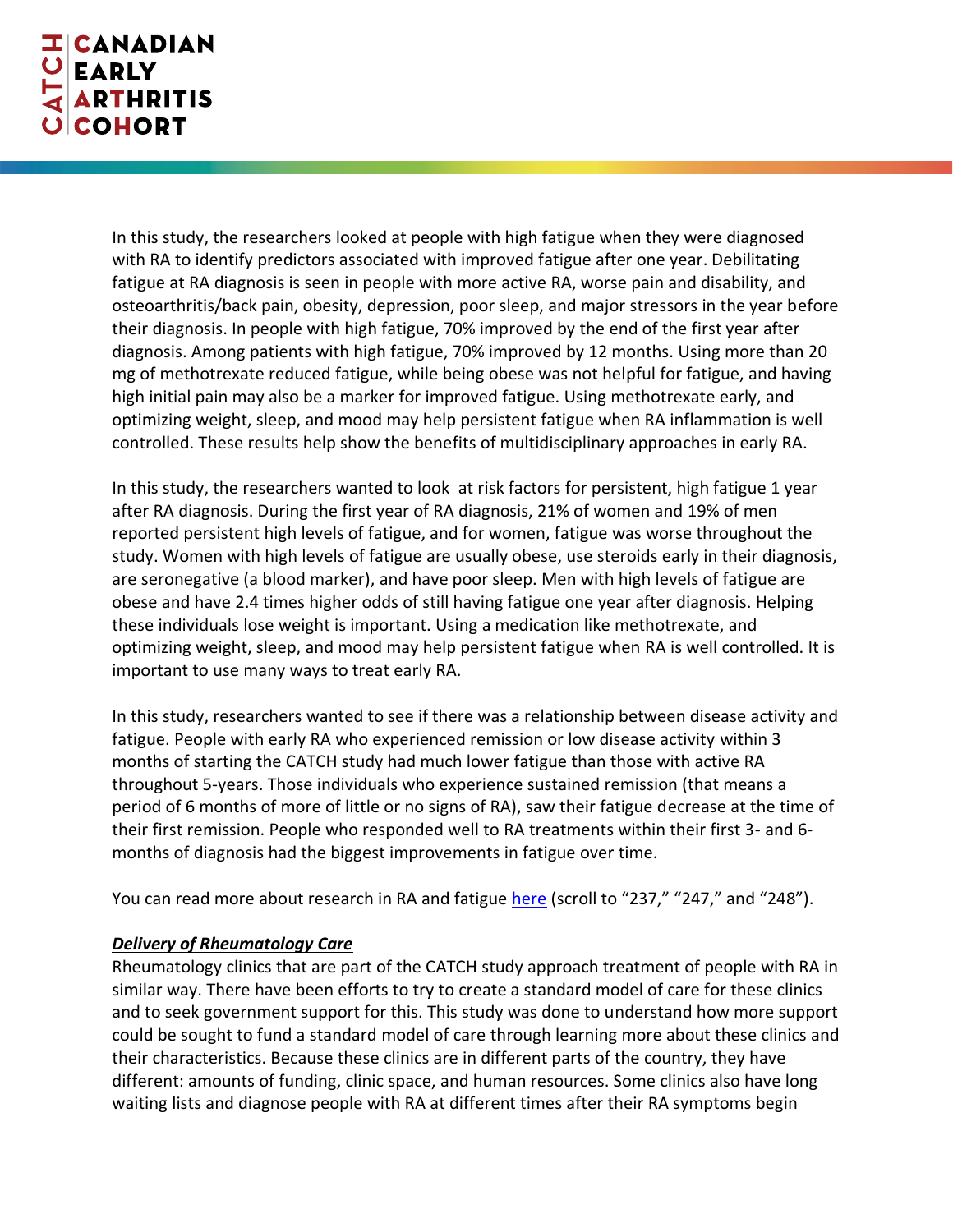In this study, the researchers looked at people with high fatigue when they were diagnosed with RA to identify predictors associated with improved fatigue after one year. Debilitating fatigue at RA diagnosis is seen in people with more active RA, worse pain and disability, and osteoarthritis/back pain, obesity, depression, poor sleep, and major stressors in the year before their diagnosis. In people with high fatigue, 70% improved by the end of the first year after diagnosis. Among patients with high fatigue, 70% improved by 12 months. Using more than 20 mg of methotrexate reduced fatigue, while being obese was not helpful for fatigue, and having high initial pain may also be a marker for improved fatigue. Using methotrexate early, and optimizing weight, sleep, and mood may help persistent fatigue when RA inflammation is well controlled. These results help show the benefits of multidisciplinary approaches in early RA.

In this study, the researchers wanted to look at risk factors for persistent, high fatigue 1 year after RA diagnosis. During the first year of RA diagnosis, 21% of women and 19% of men reported persistent high levels of fatigue, and for women, fatigue was worse throughout the study. Women with high levels of fatigue are usually obese, use steroids early in their diagnosis, are seronegative (a blood marker), and have poor sleep. Men with high levels of fatigue are obese and have 2.4 times higher odds of still having fatigue one year after diagnosis. Helping these individuals lose weight is important. Using a medication like methotrexate, and optimizing weight, sleep, and mood may help persistent fatigue when RA is well controlled. It is important to use many ways to treat early RA.

In this study, researchers wanted to see if there was a relationship between disease activity and fatigue. People with early RA who experienced remission or low disease activity within 3 months of starting the CATCH study had much lower fatigue than those with active RA throughout 5-years. Those individuals who experience sustained remission (that means a period of 6 months of more of little or no signs of RA), saw their fatigue decrease at the time of their first remission. People who responded well to RA treatments within their first 3- and 6 months of diagnosis had the biggest improvements in fatigue over time.

You can read more about research in RA and fatigue [here](https://rheum.ca/wp-content/uploads/2020/04/2020-Poster-Presentations-for-JRheum.pdf) (scroll to "237," "247," and "248").

## *Delivery of Rheumatology Care*

Rheumatology clinics that are part of the CATCH study approach treatment of people with RA in similar way. There have been efforts to try to create a standard model of care for these clinics and to seek government support for this. This study was done to understand how more support could be sought to fund a standard model of care through learning more about these clinics and their characteristics. Because these clinics are in different parts of the country, they have different: amounts of funding, clinic space, and human resources. Some clinics also have long waiting lists and diagnose people with RA at different times after their RA symptoms begin